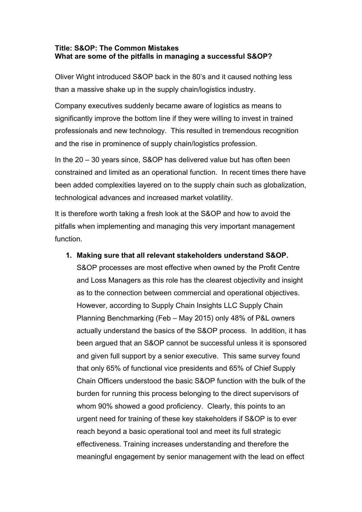### **Title: S&OP: The Common Mistakes What are some of the pitfalls in managing a successful S&OP?**

Oliver Wight introduced S&OP back in the 80's and it caused nothing less than a massive shake up in the supply chain/logistics industry.

Company executives suddenly became aware of logistics as means to significantly improve the bottom line if they were willing to invest in trained professionals and new technology. This resulted in tremendous recognition and the rise in prominence of supply chain/logistics profession.

In the 20 – 30 years since, S&OP has delivered value but has often been constrained and limited as an operational function. In recent times there have been added complexities layered on to the supply chain such as globalization, technological advances and increased market volatility.

It is therefore worth taking a fresh look at the S&OP and how to avoid the pitfalls when implementing and managing this very important management function.

### **1. Making sure that all relevant stakeholders understand S&OP.**

S&OP processes are most effective when owned by the Profit Centre and Loss Managers as this role has the clearest objectivity and insight as to the connection between commercial and operational objectives. However, according to Supply Chain Insights LLC Supply Chain Planning Benchmarking (Feb – May 2015) only 48% of P&L owners actually understand the basics of the S&OP process. In addition, it has been argued that an S&OP cannot be successful unless it is sponsored and given full support by a senior executive. This same survey found that only 65% of functional vice presidents and 65% of Chief Supply Chain Officers understood the basic S&OP function with the bulk of the burden for running this process belonging to the direct supervisors of whom 90% showed a good proficiency. Clearly, this points to an urgent need for training of these key stakeholders if S&OP is to ever reach beyond a basic operational tool and meet its full strategic effectiveness. Training increases understanding and therefore the meaningful engagement by senior management with the lead on effect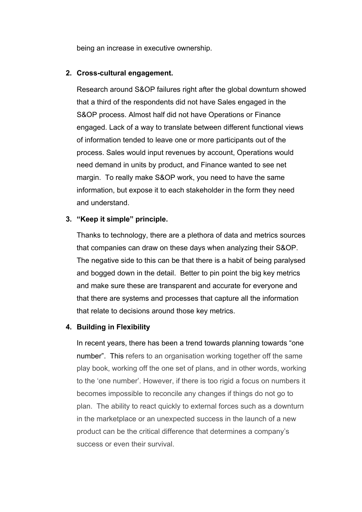being an increase in executive ownership.

### **2. Cross-cultural engagement.**

Research around S&OP failures right after the global downturn showed that a third of the respondents did not have Sales engaged in the S&OP process. Almost half did not have Operations or Finance engaged. Lack of a way to translate between different functional views of information tended to leave one or more participants out of the process. Sales would input revenues by account, Operations would need demand in units by product, and Finance wanted to see net margin. To really make S&OP work, you need to have the same information, but expose it to each stakeholder in the form they need and understand.

# **3. "Keep it simple" principle.**

Thanks to technology, there are a plethora of data and metrics sources that companies can draw on these days when analyzing their S&OP. The negative side to this can be that there is a habit of being paralysed and bogged down in the detail. Better to pin point the big key metrics and make sure these are transparent and accurate for everyone and that there are systems and processes that capture all the information that relate to decisions around those key metrics.

# **4. Building in Flexibility**

In recent years, there has been a trend towards planning towards "one number". This refers to an organisation working together off the same play book, working off the one set of plans, and in other words, working to the 'one number'. However, if there is too rigid a focus on numbers it becomes impossible to reconcile any changes if things do not go to plan. The ability to react quickly to external forces such as a downturn in the marketplace or an unexpected success in the launch of a new product can be the critical difference that determines a company's success or even their survival.